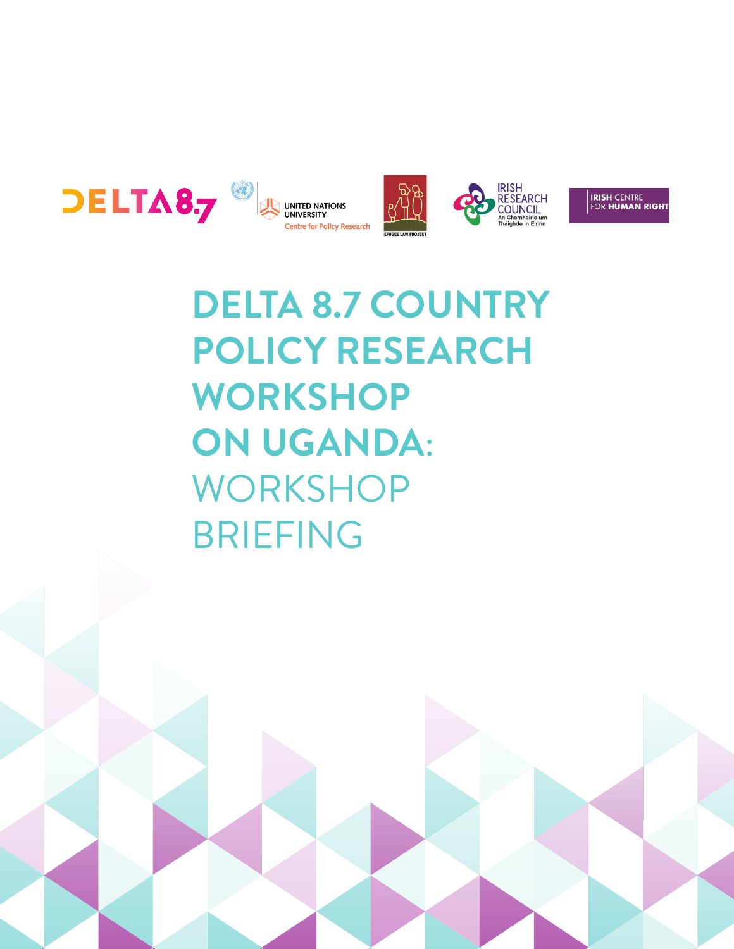







**IRISH** CENTRE<br>FOR **HUMAN RIGHT**!

## **DELTA 8.7 COUNTRY POLICY RESEARCH WORKSHOP ON UGANDA**: WORKSHOP BRIEFING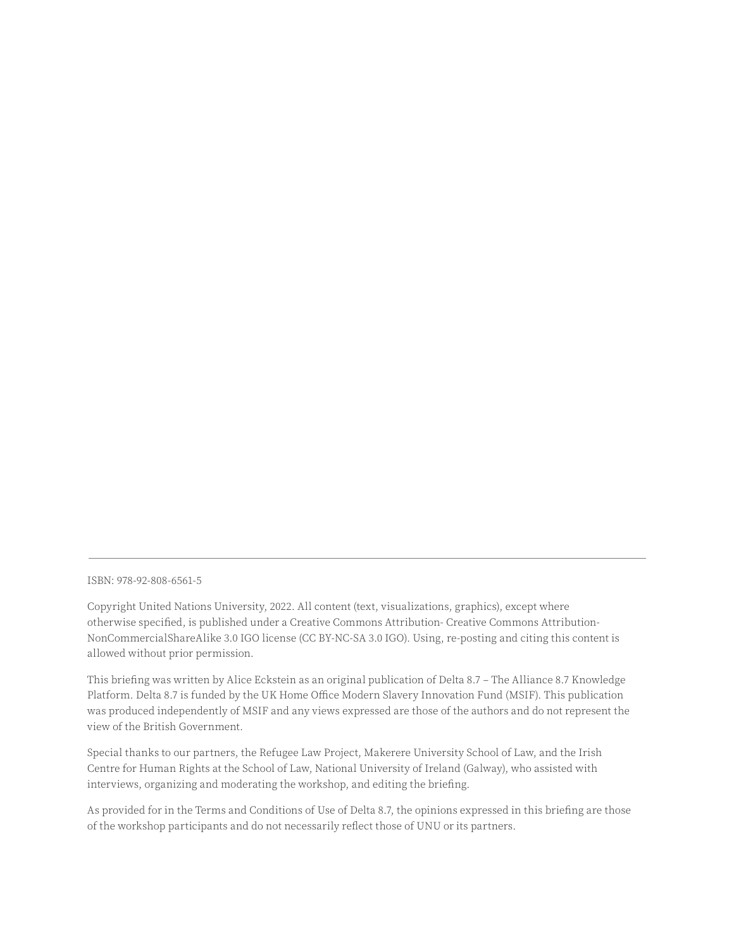ISBN: 978-92-808-6561-5

Copyright United Nations University, 2022. All content (text, visualizations, graphics), except where otherwise specified, is published under a Creative Commons Attribution- Creative Commons Attribution-NonCommercialShareAlike 3.0 IGO license (CC BY-NC-SA 3.0 IGO). Using, re-posting and citing this content is allowed without prior permission.

This briefing was written by Alice Eckstein as an original publication of Delta 8.7 – The Alliance 8.7 Knowledge Platform. Delta 8.7 is funded by the UK Home Office Modern Slavery Innovation Fund (MSIF). This publication was produced independently of MSIF and any views expressed are those of the authors and do not represent the view of the British Government.

Special thanks to our partners, the Refugee Law Project, Makerere University School of Law, and the Irish Centre for Human Rights at the School of Law, National University of Ireland (Galway), who assisted with interviews, organizing and moderating the workshop, and editing the briefing.

As provided for in the Terms and Conditions of Use of Delta 8.7, the opinions expressed in this briefing are those of the workshop participants and do not necessarily reflect those of UNU or its partners.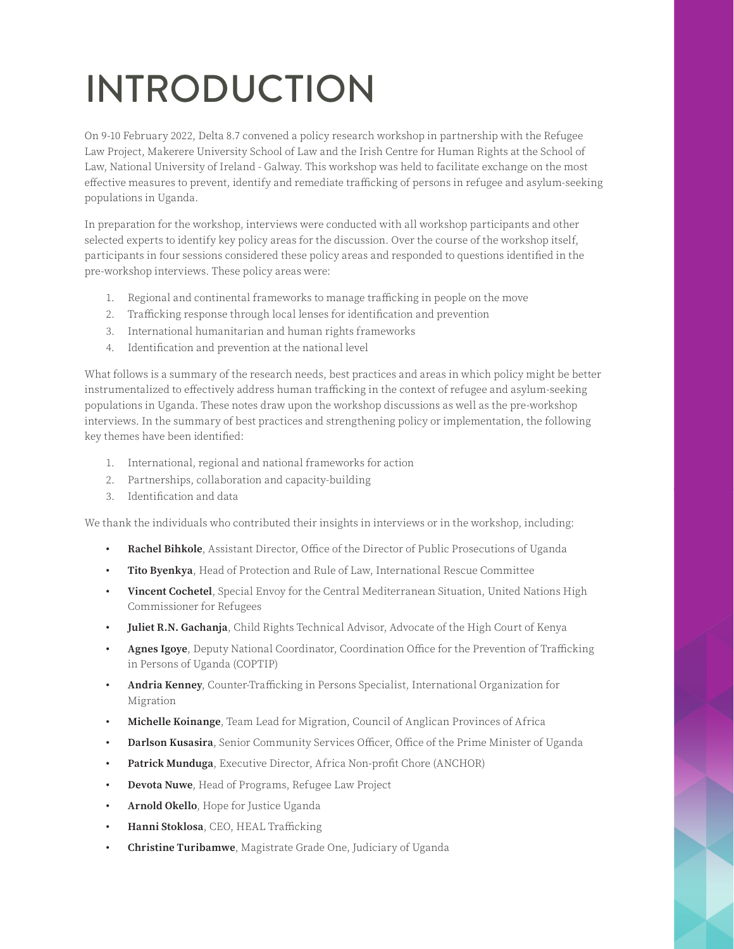# INTRODUCTION

On 9-10 February 2022, Delta 8.7 convened a policy research workshop in partnership with the Refugee Law Project, Makerere University School of Law and the Irish Centre for Human Rights at the School of Law, National University of Ireland - Galway. This workshop was held to facilitate exchange on the most effective measures to prevent, identify and remediate trafficking of persons in refugee and asylum-seeking populations in Uganda.

In preparation for the workshop, interviews were conducted with all workshop participants and other selected experts to identify key policy areas for the discussion. Over the course of the workshop itself, participants in four sessions considered these policy areas and responded to questions identified in the pre-workshop interviews. These policy areas were:

- 1. Regional and continental frameworks to manage trafficking in people on the move
- 2. Trafficking response through local lenses for identification and prevention
- 3. International humanitarian and human rights frameworks
- 4. Identification and prevention at the national level

What follows is a summary of the research needs, best practices and areas in which policy might be better instrumentalized to effectively address human trafficking in the context of refugee and asylum-seeking populations in Uganda. These notes draw upon the workshop discussions as well as the pre-workshop interviews. In the summary of best practices and strengthening policy or implementation, the following key themes have been identified:

- 1. International, regional and national frameworks for action
- 2. Partnerships, collaboration and capacity-building
- 3. Identification and data

We thank the individuals who contributed their insights in interviews or in the workshop, including:

- **• Rachel Bihkole**, Assistant Director, Office of the Director of Public Prosecutions of Uganda
- **• Tito Byenkya**, Head of Protection and Rule of Law, International Rescue Committee
- **• Vincent Cochetel**, Special Envoy for the Central Mediterranean Situation, United Nations High Commissioner for Refugees
- **• Juliet R.N. Gachanja**, Child Rights Technical Advisor, Advocate of the High Court of Kenya
- **• Agnes Igoye**, Deputy National Coordinator, Coordination Office for the Prevention of Trafficking in Persons of Uganda (COPTIP)
- **• Andria Kenney**, Counter-Trafficking in Persons Specialist, International Organization for Migration
- **• Michelle Koinange**, Team Lead for Migration, Council of Anglican Provinces of Africa
- **• Darlson Kusasira**, Senior Community Services Officer, Office of the Prime Minister of Uganda
- **• Patrick Munduga**, Executive Director, Africa Non-profit Chore (ANCHOR)
- **• Devota Nuwe**, Head of Programs, Refugee Law Project
- **• Arnold Okello**, Hope for Justice Uganda
- **• Hanni Stoklosa**, CEO, HEAL Trafficking
- **• Christine Turibamwe**, Magistrate Grade One, Judiciary of Uganda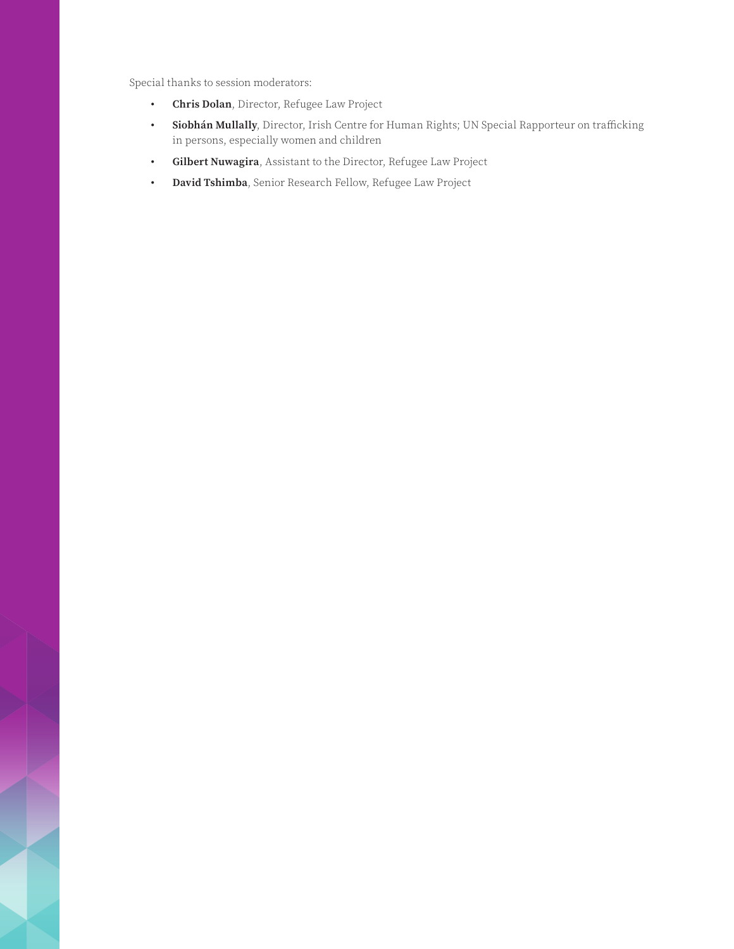Special thanks to session moderators:

- **• Chris Dolan**, Director, Refugee Law Project
- **• Siobhán Mullally**, Director, Irish Centre for Human Rights; UN Special Rapporteur on trafficking in persons, especially women and children
- **• Gilbert Nuwagira**, Assistant to the Director, Refugee Law Project
- **• David Tshimba**, Senior Research Fellow, Refugee Law Project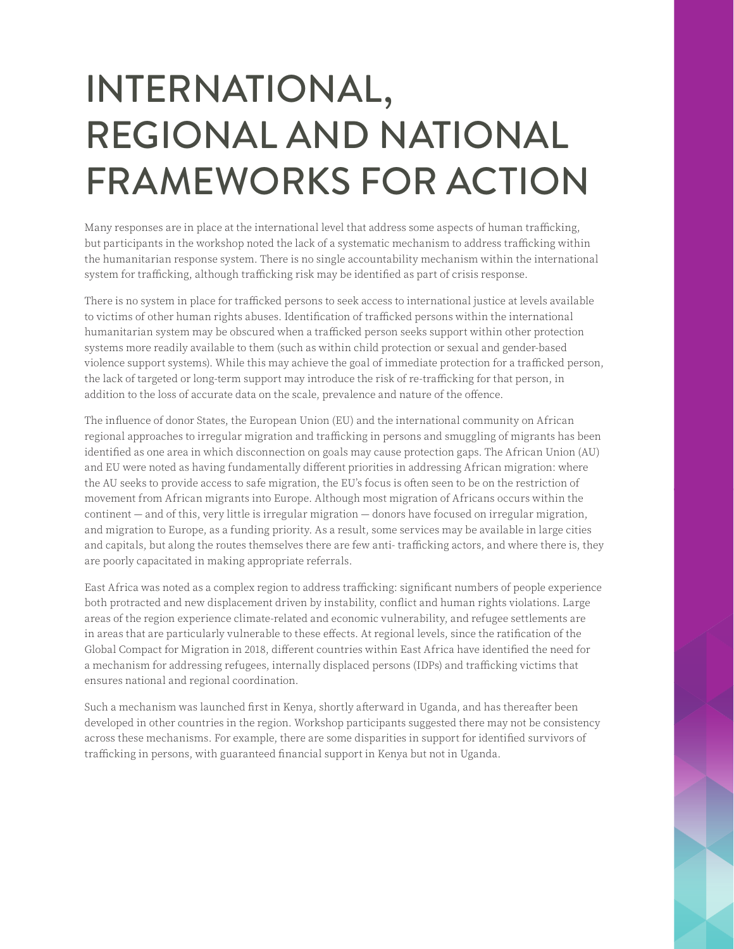## INTERNATIONAL, REGIONAL AND NATIONAL FRAMEWORKS FOR ACTION

Many responses are in place at the international level that address some aspects of human trafficking, but participants in the workshop noted the lack of a systematic mechanism to address trafficking within the humanitarian response system. There is no single accountability mechanism within the international system for trafficking, although trafficking risk may be identified as part of crisis response.

There is no system in place for trafficked persons to seek access to international justice at levels available to victims of other human rights abuses. Identification of trafficked persons within the international humanitarian system may be obscured when a trafficked person seeks support within other protection systems more readily available to them (such as within child protection or sexual and gender-based violence support systems). While this may achieve the goal of immediate protection for a trafficked person, the lack of targeted or long-term support may introduce the risk of re-trafficking for that person, in addition to the loss of accurate data on the scale, prevalence and nature of the offence.

The influence of donor States, the European Union (EU) and the international community on African regional approaches to irregular migration and trafficking in persons and smuggling of migrants has been identified as one area in which disconnection on goals may cause protection gaps. The African Union (AU) and EU were noted as having fundamentally different priorities in addressing African migration: where the AU seeks to provide access to safe migration, the EU's focus is often seen to be on the restriction of movement from African migrants into Europe. Although most migration of Africans occurs within the continent — and of this, very little is irregular migration — donors have focused on irregular migration, and migration to Europe, as a funding priority. As a result, some services may be available in large cities and capitals, but along the routes themselves there are few anti- trafficking actors, and where there is, they are poorly capacitated in making appropriate referrals.

East Africa was noted as a complex region to address trafficking: significant numbers of people experience both protracted and new displacement driven by instability, conflict and human rights violations. Large areas of the region experience climate-related and economic vulnerability, and refugee settlements are in areas that are particularly vulnerable to these effects. At regional levels, since the ratification of the Global Compact for Migration in 2018, different countries within East Africa have identified the need for a mechanism for addressing refugees, internally displaced persons (IDPs) and trafficking victims that ensures national and regional coordination.

Such a mechanism was launched first in Kenya, shortly afterward in Uganda, and has thereafter been developed in other countries in the region. Workshop participants suggested there may not be consistency across these mechanisms. For example, there are some disparities in support for identified survivors of trafficking in persons, with guaranteed financial support in Kenya but not in Uganda.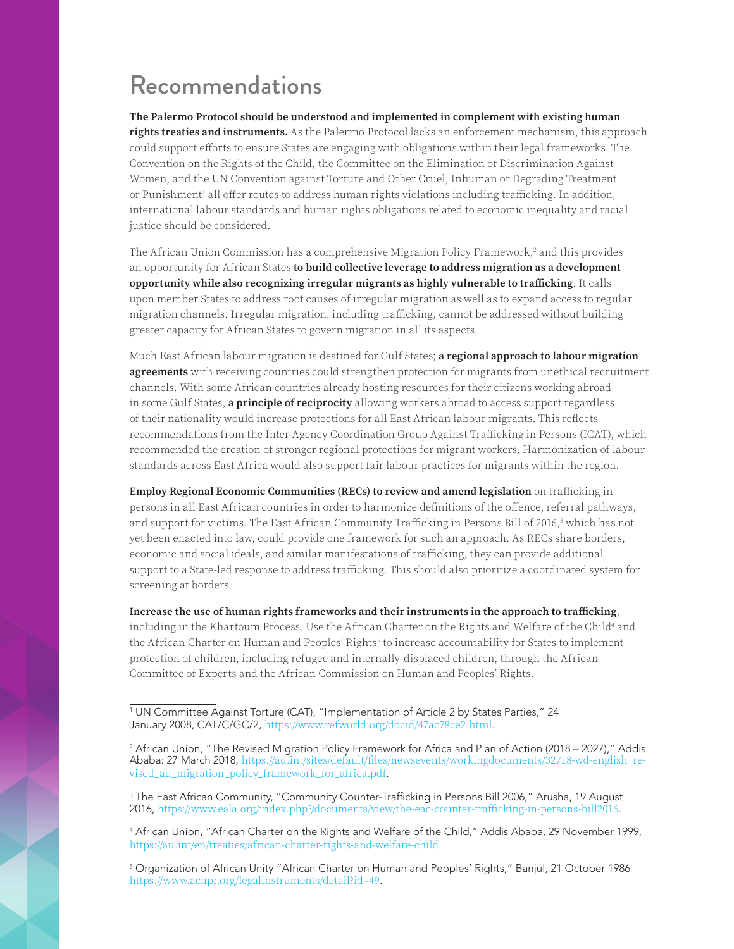### Recommendations

**The Palermo Protocol should be understood and implemented in complement with existing human rights treaties and instruments.** As the Palermo Protocol lacks an enforcement mechanism, this approach could support efforts to ensure States are engaging with obligations within their legal frameworks. The Convention on the Rights of the Child, the Committee on the Elimination of Discrimination Against Women, and the UN Convention against Torture and Other Cruel, Inhuman or Degrading Treatment or Punishment<sup>1</sup> all offer routes to address human rights violations including trafficking. In addition, international labour standards and human rights obligations related to economic inequality and racial justice should be considered.

The African Union Commission has a comprehensive Migration Policy Framework, $^2$  and this provides an opportunity for African States **to build collective leverage to address migration as a development opportunity while also recognizing irregular migrants as highly vulnerable to trafficking**. It calls upon member States to address root causes of irregular migration as well as to expand access to regular migration channels. Irregular migration, including trafficking, cannot be addressed without building greater capacity for African States to govern migration in all its aspects.

Much East African labour migration is destined for Gulf States; **a regional approach to labour migration agreements** with receiving countries could strengthen protection for migrants from unethical recruitment channels. With some African countries already hosting resources for their citizens working abroad in some Gulf States, **a principle of reciprocity** allowing workers abroad to access support regardless of their nationality would increase protections for all East African labour migrants. This reflects recommendations from the Inter-Agency Coordination Group Against Trafficking in Persons (ICAT), which recommended the creation of stronger regional protections for migrant workers. Harmonization of labour standards across East Africa would also support fair labour practices for migrants within the region.

**Employ Regional Economic Communities (RECs) to review and amend legislation** on trafficking in persons in all East African countries in order to harmonize definitions of the offence, referral pathways, and support for victims. The East African Community Trafficking in Persons Bill of 2016,<sup>3</sup> which has not yet been enacted into law, could provide one framework for such an approach. As RECs share borders, economic and social ideals, and similar manifestations of trafficking, they can provide additional support to a State-led response to address trafficking. This should also prioritize a coordinated system for screening at borders.

**Increase the use of human rights frameworks and their instruments in the approach to trafficking**, including in the Khartoum Process. Use the African Charter on the Rights and Welfare of the Child<sup>4</sup> and the African Charter on Human and Peoples' Rights<sup>5</sup> to increase accountability for States to implement protection of children, including refugee and internally-displaced children, through the African Committee of Experts and the African Commission on Human and Peoples' Rights.

<sup>1</sup> UN Committee Against Torture (CAT), "Implementation of Article 2 by States Parties," 24 January 2008, CAT/C/GC/2, <https://www.refworld.org/docid/47ac78ce2.html>.

<sup>2</sup> African Union, "The Revised Migration Policy Framework for Africa and Plan of Action (2018 – 2027)," Addis Ababa: 27 March 2018, [https://au.int/sites/default/files/newsevents/workingdocuments/32718-wd-english\\_re](https://au.int/sites/default/files/newsevents/workingdocuments/32718-wd-english_revised_au_migration_policy_framework_for_africa.pdf)[vised\\_au\\_migration\\_policy\\_framework\\_for\\_africa.pdf](https://au.int/sites/default/files/newsevents/workingdocuments/32718-wd-english_revised_au_migration_policy_framework_for_africa.pdf).

<sup>3</sup> The East African Community, "Community Counter-Trafficking in Persons Bill 2006," Arusha, 19 August 2016, <https://www.eala.org/index.php?/documents/view/the-eac-counter-trafficking-in-persons-bill2016>.

<sup>4</sup> African Union, "African Charter on the Rights and Welfare of the Child," Addis Ababa, 29 November 1999, <https://au.int/en/treaties/african-charter-rights-and-welfare-child>.

<sup>5</sup> Organization of African Unity "African Charter on Human and Peoples' Rights," Banjul, 21 October 1986 https:/[/www.achpr.org/legalinstruments/detail?id=49.](http://www.achpr.org/legalinstruments/detail?id=49)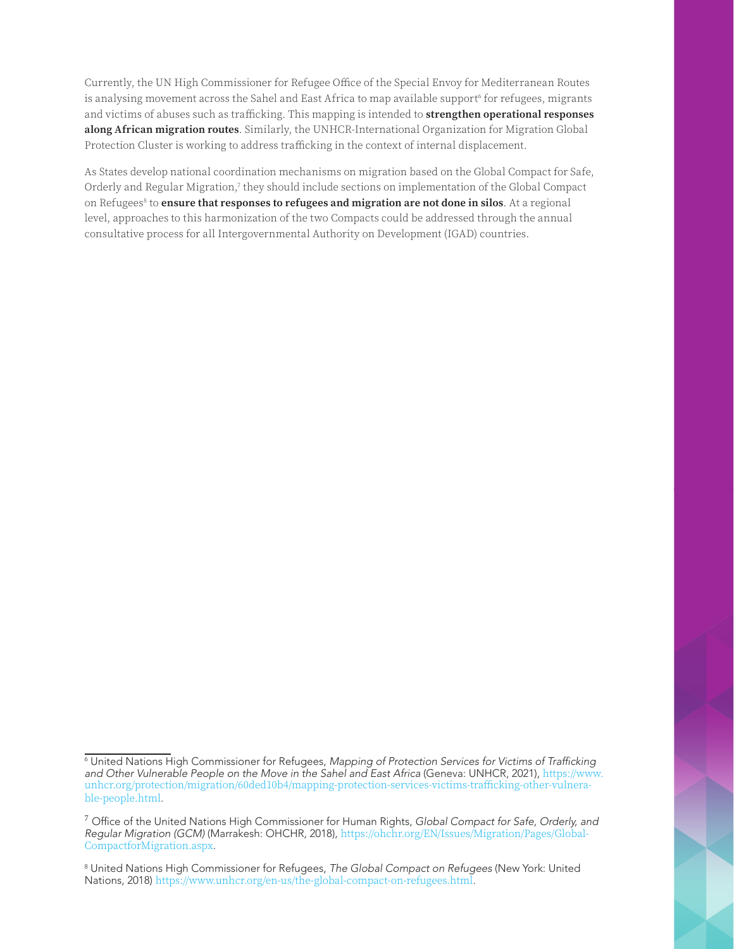Currently, the UN High Commissioner for Refugee Office of the Special Envoy for Mediterranean Routes is analysing movement across the Sahel and East Africa to map available support<sup>6</sup> for refugees, migrants and victims of abuses such as trafficking. This mapping is intended to **strengthen operational responses along African migration routes**. Similarly, the UNHCR-International Organization for Migration Global Protection Cluster is working to address trafficking in the context of internal displacement.

As States develop national coordination mechanisms on migration based on the Global Compact for Safe, Orderly and Regular Migration,<sup>7</sup> they should include sections on implementation of the Global Compact on Refugees<sup>8</sup> to **ensure that responses to refugees and migration are not done in silos**. At a regional level, approaches to this harmonization of the two Compacts could be addressed through the annual consultative process for all Intergovernmental Authority on Development (IGAD) countries.

<sup>6</sup> United Nations High Commissioner for Refugees, Mapping of Protection Services for Victims of Trafficking *and Other Vulnerable People on the Move in the Sahel and East Africa* (Geneva: UNHCR, 2021), [https://www.](https://www.unhcr.org/protection/migration/60ded10b4/mapping-protection-services-victims-trafficking-other-vulnerable-people.html) [unhcr.org/protection/migration/60ded10b4/mapping-protection-services-victims-trafficking-other-vulnera](https://www.unhcr.org/protection/migration/60ded10b4/mapping-protection-services-victims-trafficking-other-vulnerable-people.html)[ble-people.html](https://www.unhcr.org/protection/migration/60ded10b4/mapping-protection-services-victims-trafficking-other-vulnerable-people.html).

<sup>7</sup> Office of the United Nations High Commissioner for Human Rights, *Global Compact for Safe, Orderly, and Regular Migration (GCM)* (Marrakesh: OHCHR, 2018), [https://ohchr.org/EN/Issues/Migration/Pages/Global-](https://ohchr.org/EN/Issues/Migration/Pages/GlobalCompactforMigration.aspx)[CompactforMigration.aspx](https://ohchr.org/EN/Issues/Migration/Pages/GlobalCompactforMigration.aspx).

<sup>8</sup> United Nations High Commissioner for Refugees, *The Global Compact on Refugees* (New York: United Nations, 2018) <https://www.unhcr.org/en-us/the-global-compact-on-refugees.html>.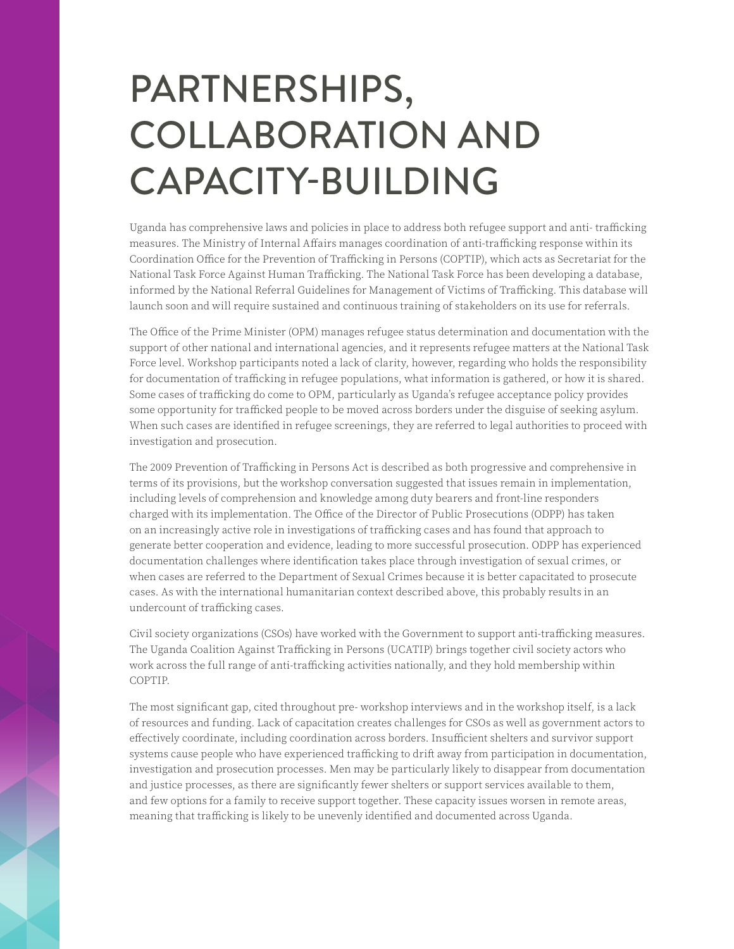## PARTNERSHIPS, COLLABORATION AND CAPACITY-BUILDING

Uganda has comprehensive laws and policies in place to address both refugee support and anti- trafficking measures. The Ministry of Internal Affairs manages coordination of anti-trafficking response within its Coordination Office for the Prevention of Trafficking in Persons (COPTIP), which acts as Secretariat for the National Task Force Against Human Trafficking. The National Task Force has been developing a database, informed by the National Referral Guidelines for Management of Victims of Trafficking. This database will launch soon and will require sustained and continuous training of stakeholders on its use for referrals.

The Office of the Prime Minister (OPM) manages refugee status determination and documentation with the support of other national and international agencies, and it represents refugee matters at the National Task Force level. Workshop participants noted a lack of clarity, however, regarding who holds the responsibility for documentation of trafficking in refugee populations, what information is gathered, or how it is shared. Some cases of trafficking do come to OPM, particularly as Uganda's refugee acceptance policy provides some opportunity for trafficked people to be moved across borders under the disguise of seeking asylum. When such cases are identified in refugee screenings, they are referred to legal authorities to proceed with investigation and prosecution.

The 2009 Prevention of Trafficking in Persons Act is described as both progressive and comprehensive in terms of its provisions, but the workshop conversation suggested that issues remain in implementation, including levels of comprehension and knowledge among duty bearers and front-line responders charged with its implementation. The Office of the Director of Public Prosecutions (ODPP) has taken on an increasingly active role in investigations of trafficking cases and has found that approach to generate better cooperation and evidence, leading to more successful prosecution. ODPP has experienced documentation challenges where identification takes place through investigation of sexual crimes, or when cases are referred to the Department of Sexual Crimes because it is better capacitated to prosecute cases. As with the international humanitarian context described above, this probably results in an undercount of trafficking cases.

Civil society organizations (CSOs) have worked with the Government to support anti-trafficking measures. The Uganda Coalition Against Trafficking in Persons (UCATIP) brings together civil society actors who work across the full range of anti-trafficking activities nationally, and they hold membership within COPTIP.

The most significant gap, cited throughout pre- workshop interviews and in the workshop itself, is a lack of resources and funding. Lack of capacitation creates challenges for CSOs as well as government actors to effectively coordinate, including coordination across borders. Insufficient shelters and survivor support systems cause people who have experienced trafficking to drift away from participation in documentation, investigation and prosecution processes. Men may be particularly likely to disappear from documentation and justice processes, as there are significantly fewer shelters or support services available to them, and few options for a family to receive support together. These capacity issues worsen in remote areas, meaning that trafficking is likely to be unevenly identified and documented across Uganda.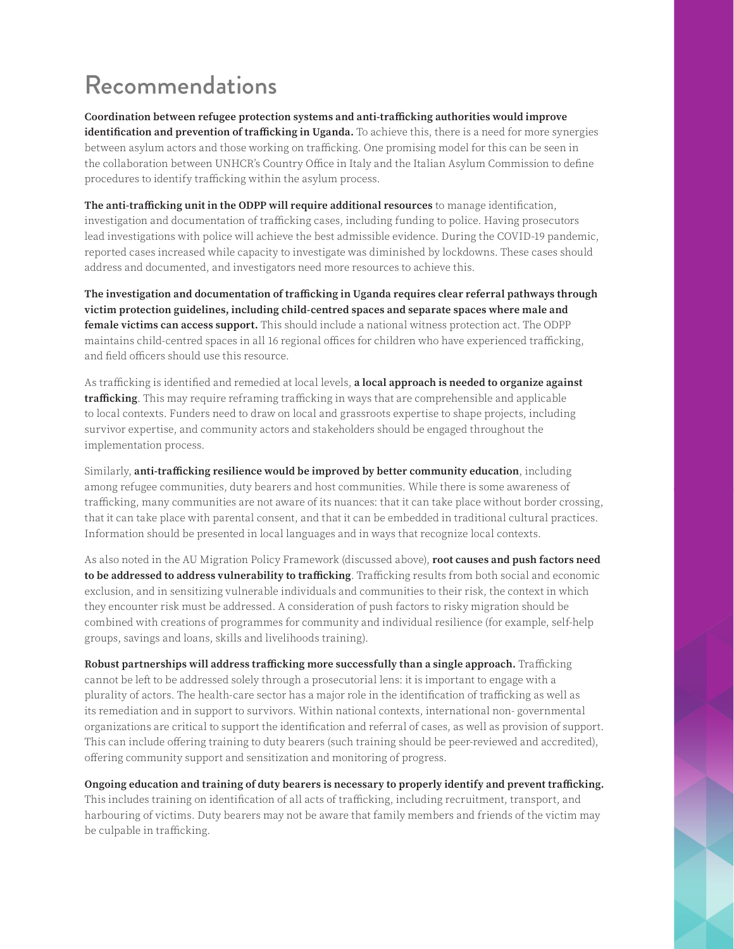### Recommendations

**Coordination between refugee protection systems and anti-trafficking authorities would improve identification and prevention of trafficking in Uganda.** To achieve this, there is a need for more synergies between asylum actors and those working on trafficking. One promising model for this can be seen in the collaboration between UNHCR's Country Office in Italy and the Italian Asylum Commission to define procedures to identify trafficking within the asylum process.

**The anti-trafficking unit in the ODPP will require additional resources** to manage identification, investigation and documentation of trafficking cases, including funding to police. Having prosecutors lead investigations with police will achieve the best admissible evidence. During the COVID-19 pandemic, reported cases increased while capacity to investigate was diminished by lockdowns. These cases should address and documented, and investigators need more resources to achieve this.

**The investigation and documentation of trafficking in Uganda requires clear referral pathways through victim protection guidelines, including child-centred spaces and separate spaces where male and female victims can access support.** This should include a national witness protection act. The ODPP maintains child-centred spaces in all 16 regional offices for children who have experienced trafficking, and field officers should use this resource.

As trafficking is identified and remedied at local levels, **a local approach is needed to organize against trafficking**. This may require reframing trafficking in ways that are comprehensible and applicable to local contexts. Funders need to draw on local and grassroots expertise to shape projects, including survivor expertise, and community actors and stakeholders should be engaged throughout the implementation process.

Similarly, **anti-trafficking resilience would be improved by better community education**, including among refugee communities, duty bearers and host communities. While there is some awareness of trafficking, many communities are not aware of its nuances: that it can take place without border crossing, that it can take place with parental consent, and that it can be embedded in traditional cultural practices. Information should be presented in local languages and in ways that recognize local contexts.

As also noted in the AU Migration Policy Framework (discussed above), **root causes and push factors need to be addressed to address vulnerability to trafficking**. Trafficking results from both social and economic exclusion, and in sensitizing vulnerable individuals and communities to their risk, the context in which they encounter risk must be addressed. A consideration of push factors to risky migration should be combined with creations of programmes for community and individual resilience (for example, self-help groups, savings and loans, skills and livelihoods training).

**Robust partnerships will address trafficking more successfully than a single approach.** Trafficking cannot be left to be addressed solely through a prosecutorial lens: it is important to engage with a plurality of actors. The health-care sector has a major role in the identification of trafficking as well as its remediation and in support to survivors. Within national contexts, international non- governmental organizations are critical to support the identification and referral of cases, as well as provision of support. This can include offering training to duty bearers (such training should be peer-reviewed and accredited), offering community support and sensitization and monitoring of progress.

**Ongoing education and training of duty bearers is necessary to properly identify and prevent trafficking.** This includes training on identification of all acts of trafficking, including recruitment, transport, and harbouring of victims. Duty bearers may not be aware that family members and friends of the victim may be culpable in trafficking.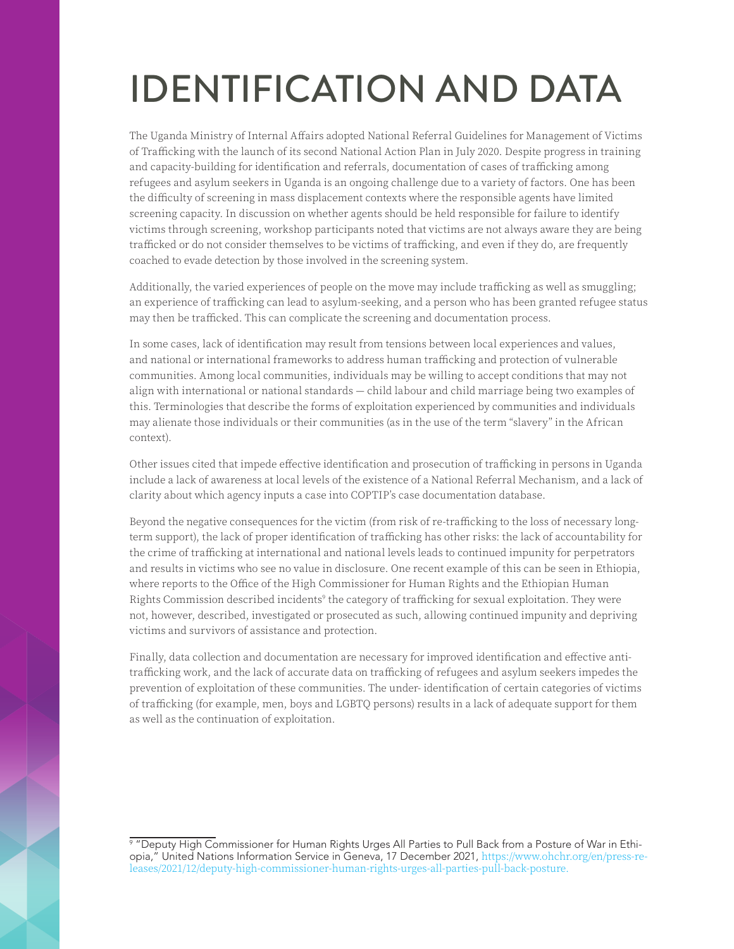## IDENTIFICATION AND DATA

The Uganda Ministry of Internal Affairs adopted National Referral Guidelines for Management of Victims of Trafficking with the launch of its second National Action Plan in July 2020. Despite progress in training and capacity-building for identification and referrals, documentation of cases of trafficking among refugees and asylum seekers in Uganda is an ongoing challenge due to a variety of factors. One has been the difficulty of screening in mass displacement contexts where the responsible agents have limited screening capacity. In discussion on whether agents should be held responsible for failure to identify victims through screening, workshop participants noted that victims are not always aware they are being trafficked or do not consider themselves to be victims of trafficking, and even if they do, are frequently coached to evade detection by those involved in the screening system.

Additionally, the varied experiences of people on the move may include trafficking as well as smuggling; an experience of trafficking can lead to asylum-seeking, and a person who has been granted refugee status may then be trafficked. This can complicate the screening and documentation process.

In some cases, lack of identification may result from tensions between local experiences and values, and national or international frameworks to address human trafficking and protection of vulnerable communities. Among local communities, individuals may be willing to accept conditions that may not align with international or national standards — child labour and child marriage being two examples of this. Terminologies that describe the forms of exploitation experienced by communities and individuals may alienate those individuals or their communities (as in the use of the term "slavery" in the African context).

Other issues cited that impede effective identification and prosecution of trafficking in persons in Uganda include a lack of awareness at local levels of the existence of a National Referral Mechanism, and a lack of clarity about which agency inputs a case into COPTIP's case documentation database.

Beyond the negative consequences for the victim (from risk of re-trafficking to the loss of necessary longterm support), the lack of proper identification of trafficking has other risks: the lack of accountability for the crime of trafficking at international and national levels leads to continued impunity for perpetrators and results in victims who see no value in disclosure. One recent example of this can be seen in Ethiopia, where reports to the Office of the High Commissioner for Human Rights and the Ethiopian Human Rights Commission described incidents<sup>9</sup> the category of trafficking for sexual exploitation. They were not, however, described, investigated or prosecuted as such, allowing continued impunity and depriving victims and survivors of assistance and protection.

Finally, data collection and documentation are necessary for improved identification and effective antitrafficking work, and the lack of accurate data on trafficking of refugees and asylum seekers impedes the prevention of exploitation of these communities. The under- identification of certain categories of victims of trafficking (for example, men, boys and LGBTQ persons) results in a lack of adequate support for them as well as the continuation of exploitation.

<sup>9</sup> "Deputy High Commissioner for Human Rights Urges All Parties to Pull Back from a Posture of War in Ethiopia," United Nations Information Service in Geneva, 17 December 2021, [https://www.ohchr.org/en/press-re](https://www.ohchr.org/en/press-releases/2021/12/deputy-high-commissioner-human-rights-urges-all-parties-pull-back-posture)[leases/2021/12/deputy-high-commissioner-human-rights-urges-all-parties-pull-back-posture](https://www.ohchr.org/en/press-releases/2021/12/deputy-high-commissioner-human-rights-urges-all-parties-pull-back-posture).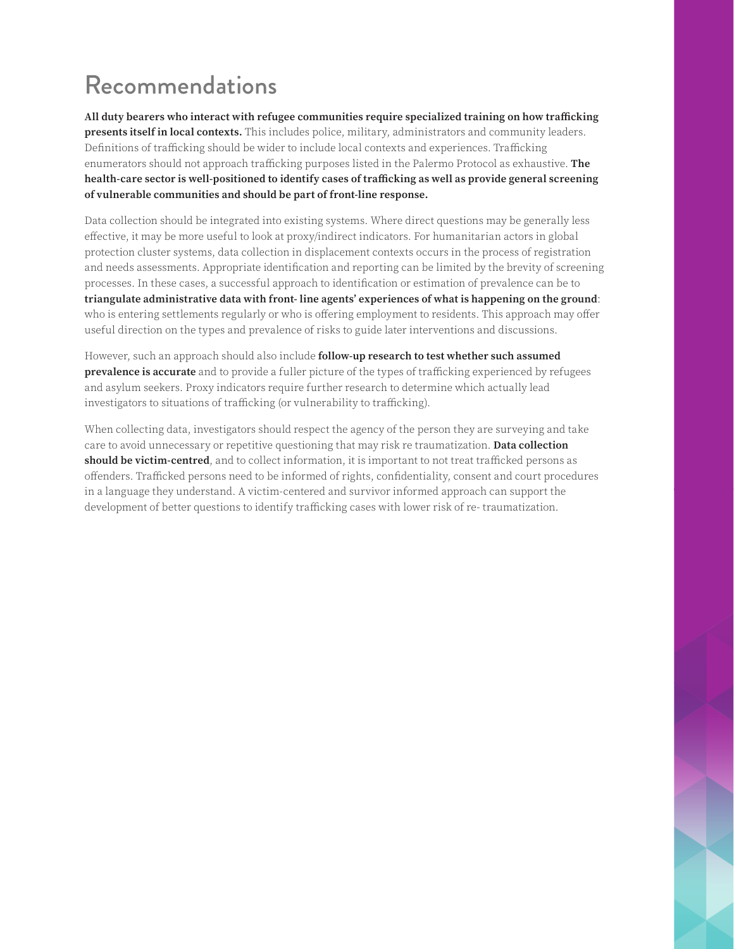### Recommendations

**All duty bearers who interact with refugee communities require specialized training on how trafficking presents itself in local contexts.** This includes police, military, administrators and community leaders. Definitions of trafficking should be wider to include local contexts and experiences. Trafficking enumerators should not approach trafficking purposes listed in the Palermo Protocol as exhaustive. **The health-care sector is well-positioned to identify cases of trafficking as well as provide general screening of vulnerable communities and should be part of front-line response.**

Data collection should be integrated into existing systems. Where direct questions may be generally less effective, it may be more useful to look at proxy/indirect indicators. For humanitarian actors in global protection cluster systems, data collection in displacement contexts occurs in the process of registration and needs assessments. Appropriate identification and reporting can be limited by the brevity of screening processes. In these cases, a successful approach to identification or estimation of prevalence can be to **triangulate administrative data with front- line agents' experiences of what is happening on the ground**: who is entering settlements regularly or who is offering employment to residents. This approach may offer useful direction on the types and prevalence of risks to guide later interventions and discussions.

However, such an approach should also include **follow-up research to test whether such assumed prevalence is accurate** and to provide a fuller picture of the types of trafficking experienced by refugees and asylum seekers. Proxy indicators require further research to determine which actually lead investigators to situations of trafficking (or vulnerability to trafficking).

When collecting data, investigators should respect the agency of the person they are surveying and take care to avoid unnecessary or repetitive questioning that may risk re traumatization. **Data collection should be victim-centred**, and to collect information, it is important to not treat trafficked persons as offenders. Trafficked persons need to be informed of rights, confidentiality, consent and court procedures in a language they understand. A victim-centered and survivor informed approach can support the development of better questions to identify trafficking cases with lower risk of re- traumatization.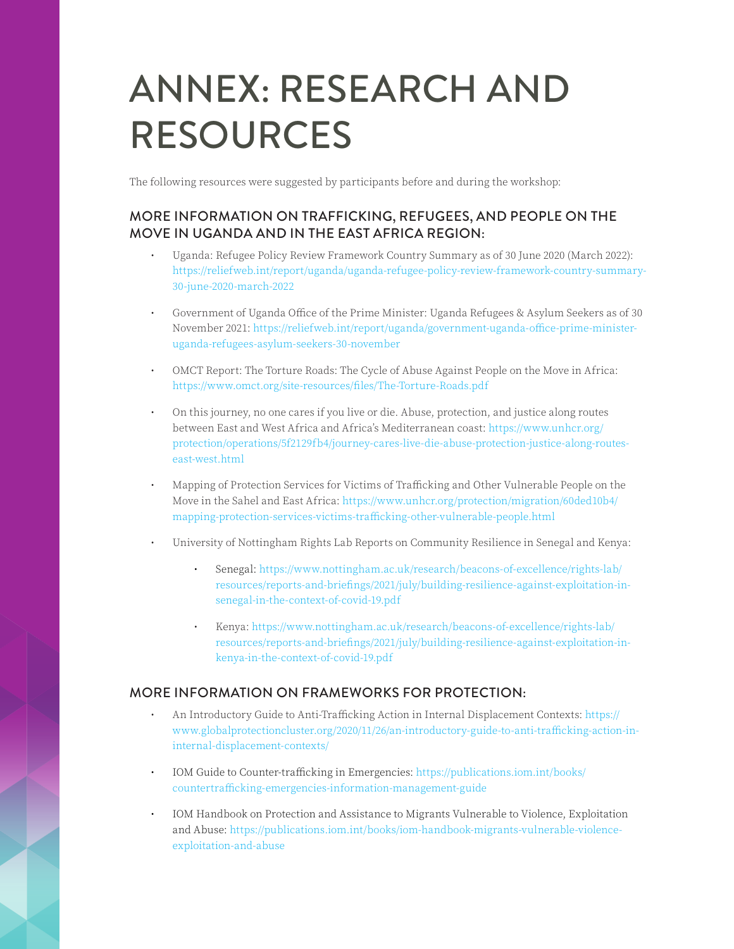## ANNEX: RESEARCH AND RESOURCES

The following resources were suggested by participants before and during the workshop:

#### MORE INFORMATION ON TRAFFICKING, REFUGEES, AND PEOPLE ON THE MOVE IN UGANDA AND IN THE EAST AFRICA REGION:

- Uganda: Refugee Policy Review Framework Country Summary as of 30 June 2020 (March 2022): [https://reliefweb.int/report/uganda/uganda-refugee-policy-review-framework-country-summary-](https://reliefweb.int/report/uganda/uganda-refugee-policy-review-framework-country-summary-30-june-2020-march-2022)[30-june-2020-march-2022](https://reliefweb.int/report/uganda/uganda-refugee-policy-review-framework-country-summary-30-june-2020-march-2022)
- Government of Uganda Office of the Prime Minister: Uganda Refugees & Asylum Seekers as of 30 November 2021: [https://reliefweb.int/report/uganda/government-uganda-office-prime-minister](https://reliefweb.int/report/uganda/government-uganda-office-prime-minister-uganda-refugees-asylum-seekers-30-november)[uganda-refugees-asylum-seekers-30-november](https://reliefweb.int/report/uganda/government-uganda-office-prime-minister-uganda-refugees-asylum-seekers-30-november)
- OMCT Report: The Torture Roads: The Cycle of Abuse Against People on the Move in Africa: [https://www.omct.org/site-resources/files/The-Torture-Roads.pdf](http://www.omct.org/site-resources/files/The-Torture-Roads.pdf)
- On this journey, no one cares if you live or die. Abuse, protection, and justice along routes between East and West Africa and Africa's Mediterranean coast: [https://www.unhcr.org/](https://www.unhcr.org/protection/operations/5f2129fb4/journey-cares-live-die-abuse-protection-justice-along-routes-east-west.html) [protection/operations/5f2129fb4/journey-cares-live-die-abuse-protection-justice-along-routes](https://www.unhcr.org/protection/operations/5f2129fb4/journey-cares-live-die-abuse-protection-justice-along-routes-east-west.html)[east-west.html](https://www.unhcr.org/protection/operations/5f2129fb4/journey-cares-live-die-abuse-protection-justice-along-routes-east-west.html)
- Mapping of Protection Services for Victims of Trafficking and Other Vulnerable People on the Move in the Sahel and East Africa: [https://www.unhcr.org/protection/migration/60ded10b4/](https://www.unhcr.org/protection/migration/60ded10b4/mapping-protection-services-victims-trafficking-other-vulnerable-people.html) [mapping-protection-services-victims-trafficking-other-vulnerable-people.html](https://www.unhcr.org/protection/migration/60ded10b4/mapping-protection-services-victims-trafficking-other-vulnerable-people.html)
- University of Nottingham Rights Lab Reports on Community Resilience in Senegal and Kenya:
	- Senegal: [https://www.nottingham.ac.uk/research/beacons-of-excellence/rights-lab/](https://www.nottingham.ac.uk/research/beacons-of-excellence/rights-lab/resources/reports-and-briefings/2021/july/building-resilience-against-exploitation-in-senegal-in-the-context-of-covid-19.pdf) [resources/reports-and-briefings/2021/july/building-resilience-against-exploitation-in](https://www.nottingham.ac.uk/research/beacons-of-excellence/rights-lab/resources/reports-and-briefings/2021/july/building-resilience-against-exploitation-in-senegal-in-the-context-of-covid-19.pdf)[senegal-in-the-context-of-covid-19.pdf](https://www.nottingham.ac.uk/research/beacons-of-excellence/rights-lab/resources/reports-and-briefings/2021/july/building-resilience-against-exploitation-in-senegal-in-the-context-of-covid-19.pdf)
	- Kenya: [https://www.nottingham.ac.uk/research/beacons-of-excellence/rights-lab/](https://www.nottingham.ac.uk/research/beacons-of-excellence/rights-lab/resources/reports-and-briefings/2021/july/building-resilience-against-exploitation-in-kenya-in-the-context-of-covid-19.pdf) [resources/reports-and-briefings/2021/july/building-resilience-against-exploitation-in](https://www.nottingham.ac.uk/research/beacons-of-excellence/rights-lab/resources/reports-and-briefings/2021/july/building-resilience-against-exploitation-in-kenya-in-the-context-of-covid-19.pdf)[kenya-in-the-context-of-covid-19.pdf](https://www.nottingham.ac.uk/research/beacons-of-excellence/rights-lab/resources/reports-and-briefings/2021/july/building-resilience-against-exploitation-in-kenya-in-the-context-of-covid-19.pdf)

#### MORE INFORMATION ON FRAMEWORKS FOR PROTECTION:

- An Introductory Guide to Anti-Trafficking Action in Internal Displacement Contexts: [https://](https://www.globalprotectioncluster.org/2020/11/26/an-introductory-guide-to-anti-trafficking-action-in-internal-displacement-contexts/) [www.globalprotectioncluster.org/2020/11/26/an-introductory-guide-to-anti-trafficking-action-in](https://www.globalprotectioncluster.org/2020/11/26/an-introductory-guide-to-anti-trafficking-action-in-internal-displacement-contexts/)[internal-displacement-contexts/](https://www.globalprotectioncluster.org/2020/11/26/an-introductory-guide-to-anti-trafficking-action-in-internal-displacement-contexts/)
- IOM Guide to Counter-trafficking in Emergencies: [https://publications.iom.int/books/](https://publications.iom.int/books/countertrafficking-emergencies-information-management-guide) [countertrafficking-emergencies-information-management-guide](https://publications.iom.int/books/countertrafficking-emergencies-information-management-guide)
- IOM Handbook on Protection and Assistance to Migrants Vulnerable to Violence, Exploitation and Abuse: [https://publications.iom.int/books/iom-handbook-migrants-vulnerable-violence](https://publications.iom.int/books/iom-handbook-migrants-vulnerable-violence-exploitation-and-abuse)[exploitation-and-abuse](https://publications.iom.int/books/iom-handbook-migrants-vulnerable-violence-exploitation-and-abuse)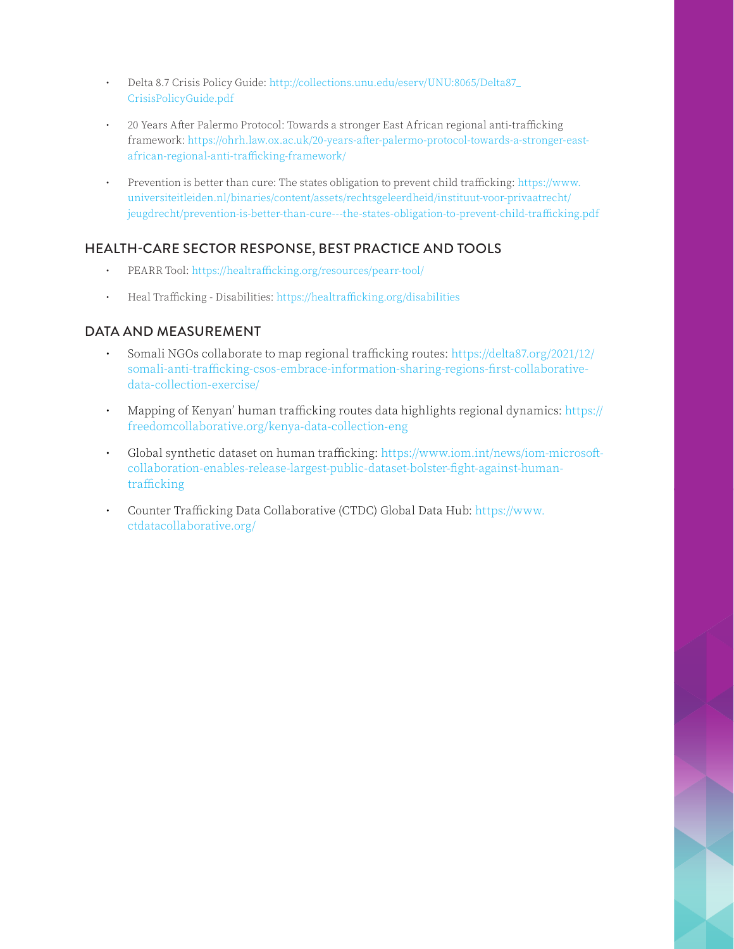- Delta 8.7 Crisis Policy Guide: [http://collections.unu.edu/eserv/UNU:8065/Delta87\\_](http://collections.unu.edu/eserv/UNU:8065/Delta87_CrisisPolicyGuide.pdf) [CrisisPolicyGuide.pdf](http://collections.unu.edu/eserv/UNU:8065/Delta87_CrisisPolicyGuide.pdf)
- 20 Years After Palermo Protocol: Towards a stronger East African regional anti-trafficking framework: [https://ohrh.law.ox.ac.uk/20-years-after-palermo-protocol-towards-a-stronger-east](https://ohrh.law.ox.ac.uk/20-years-after-palermo-protocol-towards-a-stronger-east-african-regional-anti-trafficking-framework/ )[african-regional-anti-trafficking-framework/](https://ohrh.law.ox.ac.uk/20-years-after-palermo-protocol-towards-a-stronger-east-african-regional-anti-trafficking-framework/ )
- Prevention is better than cure: The states obligation to prevent child trafficking: [https://www.](https://www.universiteitleiden.nl/binaries/content/assets/rechtsgeleerdheid/instituut-voor-privaatrecht/jeugdrecht/prevention-is-better-than-cure---the-states-obligation-to-prevent-child-trafficking.pdf) [universiteitleiden.nl/binaries/content/assets/rechtsgeleerdheid/instituut-voor-privaatrecht/](https://www.universiteitleiden.nl/binaries/content/assets/rechtsgeleerdheid/instituut-voor-privaatrecht/jeugdrecht/prevention-is-better-than-cure---the-states-obligation-to-prevent-child-trafficking.pdf) [jeugdrecht/prevention-is-better-than-cure---the-states-obligation-to-prevent-child-trafficking.pdf](https://www.universiteitleiden.nl/binaries/content/assets/rechtsgeleerdheid/instituut-voor-privaatrecht/jeugdrecht/prevention-is-better-than-cure---the-states-obligation-to-prevent-child-trafficking.pdf)

### HEALTH-CARE SECTOR RESPONSE, BEST PRACTICE AND TOOLS

- PEARR Tool:<https://healtrafficking.org/resources/pearr-tool/>
- Heal Trafficking Disabilities: <https://healtrafficking.org/disabilities>

#### DATA AND MEASUREMENT

- Somali NGOs collaborate to map regional trafficking routes: [https://delta87.org/2021/12/](https://delta87.org/2021/12/somali-anti-trafficking-csos-embrace-information-sharing-regions-first-collaborative-data-collection-exercise/ ) [somali-anti-trafficking-csos-embrace-information-sharing-regions-first-collaborative](https://delta87.org/2021/12/somali-anti-trafficking-csos-embrace-information-sharing-regions-first-collaborative-data-collection-exercise/ )[data-collection-exercise/](https://delta87.org/2021/12/somali-anti-trafficking-csos-embrace-information-sharing-regions-first-collaborative-data-collection-exercise/ )
- Mapping of Kenyan' human trafficking routes data highlights regional dynamics: [https://](https://freedomcollaborative.org/kenya-data-collection-eng) [freedomcollaborative.org/kenya-data-collection-eng](https://freedomcollaborative.org/kenya-data-collection-eng)
- Global synthetic dataset on human trafficking: [https://www.iom.int/news/iom-microsoft](https://www.iom.int/news/iom-microsoft-collaboration-enables-release-largest-public-dataset-bolster-fight-against-human-trafficking)[collaboration-enables-release-largest-public-dataset-bolster-fight-against-human](https://www.iom.int/news/iom-microsoft-collaboration-enables-release-largest-public-dataset-bolster-fight-against-human-trafficking)[trafficking](https://www.iom.int/news/iom-microsoft-collaboration-enables-release-largest-public-dataset-bolster-fight-against-human-trafficking)
- Counter Trafficking Data Collaborative (CTDC) Global Data Hub: [https://www.](https://www.ctdatacollaborative.org/) [ctdatacollaborative.org/](https://www.ctdatacollaborative.org/)